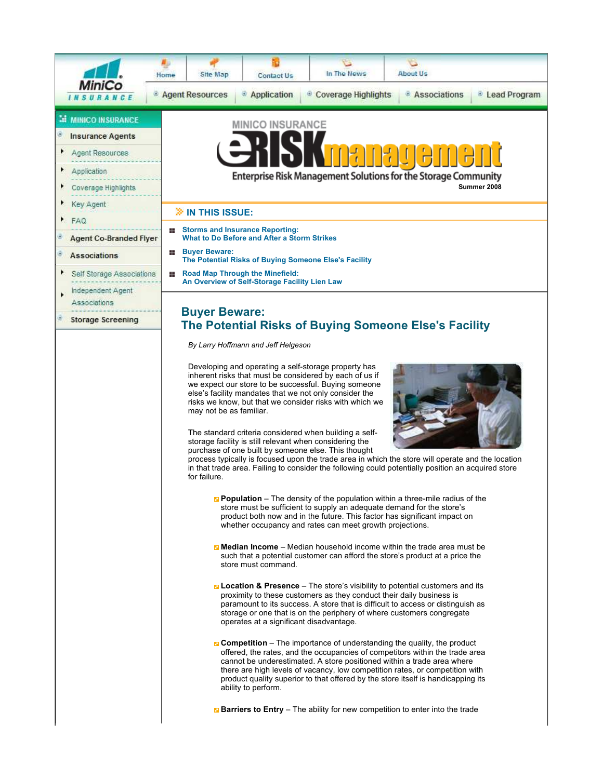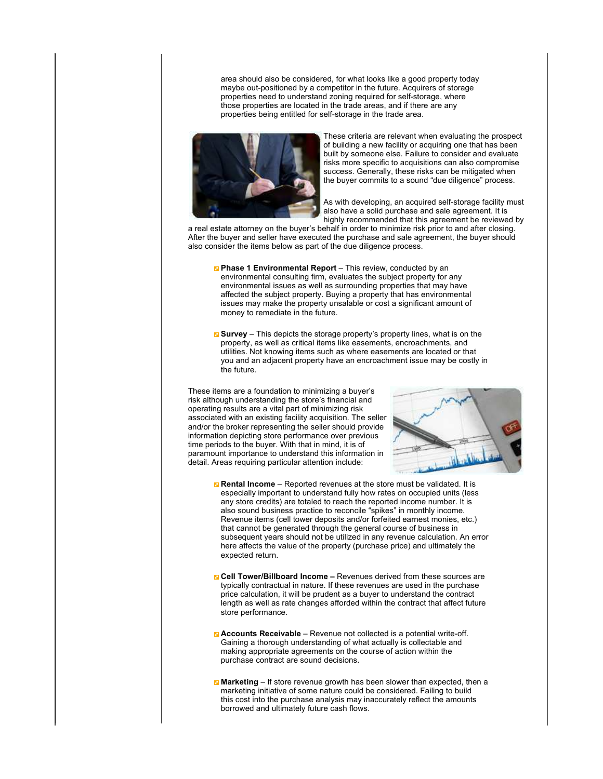area should also be considered, for what looks like a good property today maybe out-positioned by a competitor in the future. Acquirers of storage properties need to understand zoning required for self-storage, where those properties are located in the trade areas, and if there are any properties being entitled for self-storage in the trade area.



These criteria are relevant when evaluating the prospect of building a new facility or acquiring one that has been built by someone else. Failure to consider and evaluate risks more specific to acquisitions can also compromise success. Generally, these risks can be mitigated when the buyer commits to a sound "due diligence" process.

As with developing, an acquired self-storage facility must also have a solid purchase and sale agreement. It is highly recommended that this agreement be reviewed by

a real estate attorney on the buyer's behalf in order to minimize risk prior to and after closing. After the buyer and seller have executed the purchase and sale agreement, the buyer should also consider the items below as part of the due diligence process.

- **Phase 1 Environmental Report** This review, conducted by an environmental consulting firm, evaluates the subject property for any environmental issues as well as surrounding properties that may have affected the subject property. Buying a property that has environmental issues may make the property unsalable or cost a significant amount of money to remediate in the future.
- **E** Survey This depicts the storage property's property lines, what is on the property, as well as critical items like easements, encroachments, and utilities. Not knowing items such as where easements are located or that you and an adjacent property have an encroachment issue may be costly in the future.

These items are a foundation to minimizing a buyer's risk although understanding the store's financial and operating results are a vital part of minimizing risk associated with an existing facility acquisition. The seller and/or the broker representing the seller should provide information depicting store performance over previous time periods to the buyer. With that in mind, it is of paramount importance to understand this information in detail. Areas requiring particular attention include:



- **Rental Income** Reported revenues at the store must be validated. It is especially important to understand fully how rates on occupied units (less any store credits) are totaled to reach the reported income number. It is also sound business practice to reconcile "spikes" in monthly income. Revenue items (cell tower deposits and/or forfeited earnest monies, etc.) that cannot be generated through the general course of business in subsequent years should not be utilized in any revenue calculation. An error here affects the value of the property (purchase price) and ultimately the expected return.
- **E Cell Tower/Billboard Income –** Revenues derived from these sources are typically contractual in nature. If these revenues are used in the purchase price calculation, it will be prudent as a buyer to understand the contract length as well as rate changes afforded within the contract that affect future store performance.
- **Accounts Receivable** Revenue not collected is a potential write-off. Gaining a thorough understanding of what actually is collectable and making appropriate agreements on the course of action within the purchase contract are sound decisions.
- Marketing If store revenue growth has been slower than expected, then a marketing initiative of some nature could be considered. Failing to build this cost into the purchase analysis may inaccurately reflect the amounts borrowed and ultimately future cash flows.